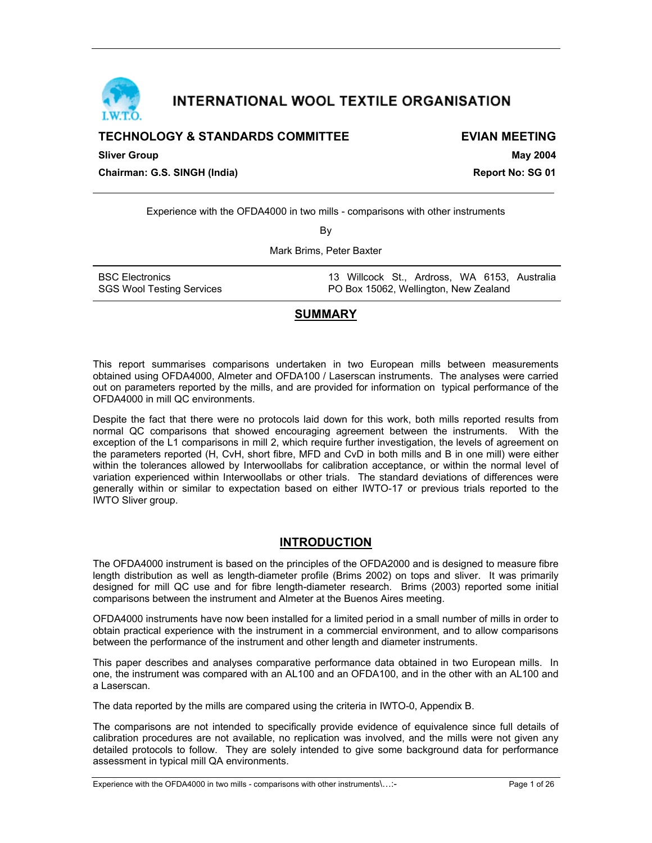

# INTERNATIONAL WOOL TEXTILE ORGANISATION

## **TECHNOLOGY & STANDARDS COMMITTEE EXIGN EVIAN MEETING**

**Sliver Group May 2004** 

**Chairman: G.S. SINGH (India) Report No: SG 01**

Experience with the OFDA4000 in two mills - comparisons with other instruments

By

Mark Brims, Peter Baxter

| <b>BSC Electronics</b>           | 13 Willcock St., Ardross, WA 6153, Australia |
|----------------------------------|----------------------------------------------|
| <b>SGS Wool Testing Services</b> | PO Box 15062, Wellington, New Zealand        |

## **SUMMARY**

This report summarises comparisons undertaken in two European mills between measurements obtained using OFDA4000, Almeter and OFDA100 / Laserscan instruments. The analyses were carried out on parameters reported by the mills, and are provided for information on typical performance of the OFDA4000 in mill QC environments.

Despite the fact that there were no protocols laid down for this work, both mills reported results from normal QC comparisons that showed encouraging agreement between the instruments. With the exception of the L1 comparisons in mill 2, which require further investigation, the levels of agreement on the parameters reported (H, CvH, short fibre, MFD and CvD in both mills and B in one mill) were either within the tolerances allowed by Interwoollabs for calibration acceptance, or within the normal level of variation experienced within Interwoollabs or other trials. The standard deviations of differences were generally within or similar to expectation based on either IWTO-17 or previous trials reported to the IWTO Sliver group.

## **INTRODUCTION**

The OFDA4000 instrument is based on the principles of the OFDA2000 and is designed to measure fibre length distribution as well as length-diameter profile (Brims 2002) on tops and sliver. It was primarily designed for mill QC use and for fibre length-diameter research. Brims (2003) reported some initial comparisons between the instrument and Almeter at the Buenos Aires meeting.

OFDA4000 instruments have now been installed for a limited period in a small number of mills in order to obtain practical experience with the instrument in a commercial environment, and to allow comparisons between the performance of the instrument and other length and diameter instruments.

This paper describes and analyses comparative performance data obtained in two European mills. In one, the instrument was compared with an AL100 and an OFDA100, and in the other with an AL100 and a Laserscan.

The data reported by the mills are compared using the criteria in IWTO-0, Appendix B.

The comparisons are not intended to specifically provide evidence of equivalence since full details of calibration procedures are not available, no replication was involved, and the mills were not given any detailed protocols to follow. They are solely intended to give some background data for performance assessment in typical mill QA environments.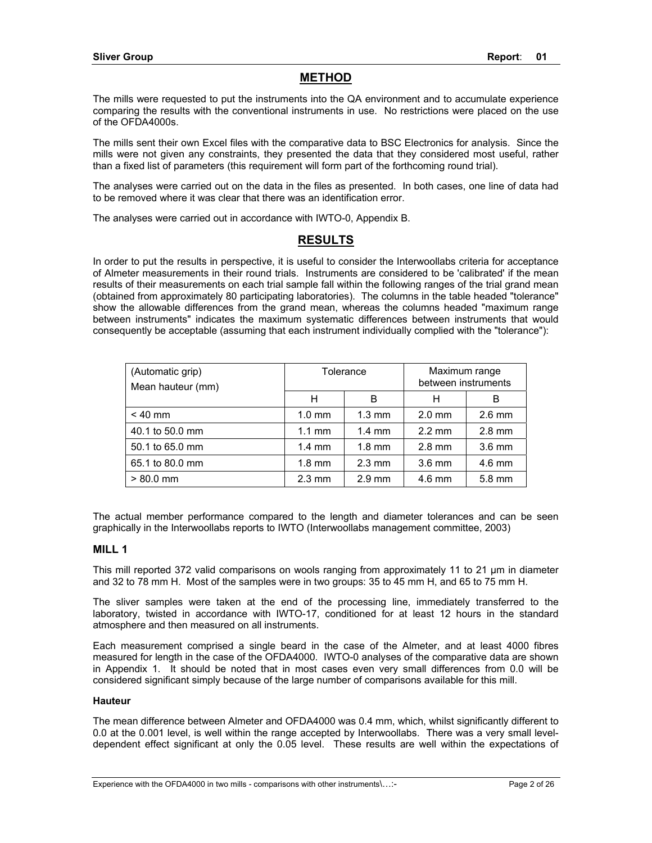## **METHOD**

The mills were requested to put the instruments into the QA environment and to accumulate experience comparing the results with the conventional instruments in use. No restrictions were placed on the use of the OFDA4000s.

The mills sent their own Excel files with the comparative data to BSC Electronics for analysis. Since the mills were not given any constraints, they presented the data that they considered most useful, rather than a fixed list of parameters (this requirement will form part of the forthcoming round trial).

The analyses were carried out on the data in the files as presented. In both cases, one line of data had to be removed where it was clear that there was an identification error.

The analyses were carried out in accordance with IWTO-0, Appendix B.

## **RESULTS**

In order to put the results in perspective, it is useful to consider the Interwoollabs criteria for acceptance of Almeter measurements in their round trials. Instruments are considered to be 'calibrated' if the mean results of their measurements on each trial sample fall within the following ranges of the trial grand mean (obtained from approximately 80 participating laboratories). The columns in the table headed "tolerance" show the allowable differences from the grand mean, whereas the columns headed "maximum range between instruments" indicates the maximum systematic differences between instruments that would consequently be acceptable (assuming that each instrument individually complied with the "tolerance"):

| (Automatic grip)<br>Mean hauteur (mm) | Tolerance        |                  | Maximum range<br>between instruments |                  |
|---------------------------------------|------------------|------------------|--------------------------------------|------------------|
|                                       | н                | В                | н                                    | В                |
| $< 40$ mm                             | $1.0 \text{ mm}$ | $1.3 \text{ mm}$ | $2.0$ mm                             | $2.6$ mm         |
| 40.1 to 50.0 mm                       | $1.1 \text{ mm}$ | $1.4 \text{ mm}$ | $2.2 \text{ mm}$                     | $2.8$ mm         |
| 50.1 to 65.0 mm                       | $1.4 \text{ mm}$ | $1.8 \text{ mm}$ | $2.8$ mm                             | $3.6 \text{ mm}$ |
| 65.1 to 80.0 mm                       | $1.8 \text{ mm}$ | $2.3 \text{ mm}$ | 3.6 mm                               | 4.6 mm           |
| $> 80.0$ mm                           | $2.3 \text{ mm}$ | $2.9$ mm         | $4.6$ mm                             | 5.8 mm           |

The actual member performance compared to the length and diameter tolerances and can be seen graphically in the Interwoollabs reports to IWTO (Interwoollabs management committee, 2003)

#### **MILL 1**

This mill reported 372 valid comparisons on wools ranging from approximately 11 to 21 µm in diameter and 32 to 78 mm H. Most of the samples were in two groups: 35 to 45 mm H, and 65 to 75 mm H.

The sliver samples were taken at the end of the processing line, immediately transferred to the laboratory, twisted in accordance with IWTO-17, conditioned for at least 12 hours in the standard atmosphere and then measured on all instruments.

Each measurement comprised a single beard in the case of the Almeter, and at least 4000 fibres measured for length in the case of the OFDA4000. IWTO-0 analyses of the comparative data are shown in Appendix 1. It should be noted that in most cases even very small differences from 0.0 will be considered significant simply because of the large number of comparisons available for this mill.

#### **Hauteur**

The mean difference between Almeter and OFDA4000 was 0.4 mm, which, whilst significantly different to 0.0 at the 0.001 level, is well within the range accepted by Interwoollabs. There was a very small leveldependent effect significant at only the 0.05 level. These results are well within the expectations of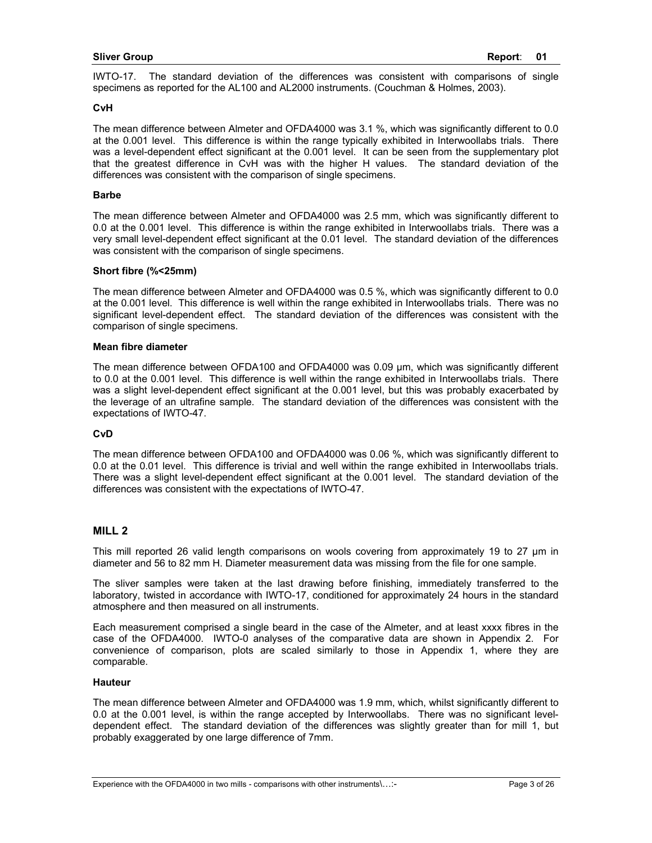IWTO-17. The standard deviation of the differences was consistent with comparisons of single specimens as reported for the AL100 and AL2000 instruments. (Couchman & Holmes, 2003).

#### **CvH**

The mean difference between Almeter and OFDA4000 was 3.1 %, which was significantly different to 0.0 at the 0.001 level. This difference is within the range typically exhibited in Interwoollabs trials. There was a level-dependent effect significant at the 0.001 level. It can be seen from the supplementary plot that the greatest difference in CvH was with the higher H values. The standard deviation of the differences was consistent with the comparison of single specimens.

#### **Barbe**

The mean difference between Almeter and OFDA4000 was 2.5 mm, which was significantly different to 0.0 at the 0.001 level. This difference is within the range exhibited in Interwoollabs trials. There was a very small level-dependent effect significant at the 0.01 level. The standard deviation of the differences was consistent with the comparison of single specimens.

#### **Short fibre (%<25mm)**

The mean difference between Almeter and OFDA4000 was 0.5 %, which was significantly different to 0.0 at the 0.001 level. This difference is well within the range exhibited in Interwoollabs trials. There was no significant level-dependent effect. The standard deviation of the differences was consistent with the comparison of single specimens.

#### **Mean fibre diameter**

The mean difference between OFDA100 and OFDA4000 was 0.09 µm, which was significantly different to 0.0 at the 0.001 level. This difference is well within the range exhibited in Interwoollabs trials. There was a slight level-dependent effect significant at the 0.001 level, but this was probably exacerbated by the leverage of an ultrafine sample. The standard deviation of the differences was consistent with the expectations of IWTO-47.

#### **CvD**

The mean difference between OFDA100 and OFDA4000 was 0.06 %, which was significantly different to 0.0 at the 0.01 level. This difference is trivial and well within the range exhibited in Interwoollabs trials. There was a slight level-dependent effect significant at the 0.001 level. The standard deviation of the differences was consistent with the expectations of IWTO-47.

#### **MILL 2**

This mill reported 26 valid length comparisons on wools covering from approximately 19 to 27 µm in diameter and 56 to 82 mm H. Diameter measurement data was missing from the file for one sample.

The sliver samples were taken at the last drawing before finishing, immediately transferred to the laboratory, twisted in accordance with IWTO-17, conditioned for approximately 24 hours in the standard atmosphere and then measured on all instruments.

Each measurement comprised a single beard in the case of the Almeter, and at least xxxx fibres in the case of the OFDA4000. IWTO-0 analyses of the comparative data are shown in Appendix 2. For convenience of comparison, plots are scaled similarly to those in Appendix 1, where they are comparable.

#### **Hauteur**

The mean difference between Almeter and OFDA4000 was 1.9 mm, which, whilst significantly different to 0.0 at the 0.001 level, is within the range accepted by Interwoollabs. There was no significant leveldependent effect. The standard deviation of the differences was slightly greater than for mill 1, but probably exaggerated by one large difference of 7mm.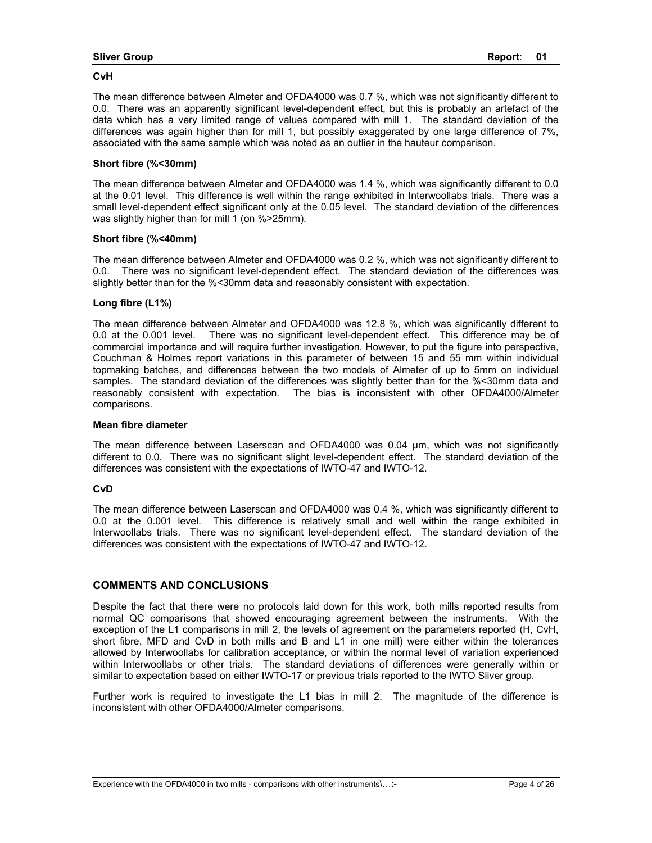#### **CvH**

The mean difference between Almeter and OFDA4000 was 0.7 %, which was not significantly different to 0.0. There was an apparently significant level-dependent effect, but this is probably an artefact of the data which has a very limited range of values compared with mill 1. The standard deviation of the differences was again higher than for mill 1, but possibly exaggerated by one large difference of 7%, associated with the same sample which was noted as an outlier in the hauteur comparison.

#### **Short fibre (%<30mm)**

The mean difference between Almeter and OFDA4000 was 1.4 %, which was significantly different to 0.0 at the 0.01 level. This difference is well within the range exhibited in Interwoollabs trials. There was a small level-dependent effect significant only at the 0.05 level. The standard deviation of the differences was slightly higher than for mill 1 (on %>25mm).

#### **Short fibre (%<40mm)**

The mean difference between Almeter and OFDA4000 was 0.2 %, which was not significantly different to 0.0. There was no significant level-dependent effect. The standard deviation of the differences was slightly better than for the %<30mm data and reasonably consistent with expectation.

#### **Long fibre (L1%)**

The mean difference between Almeter and OFDA4000 was 12.8 %, which was significantly different to 0.0 at the 0.001 level. There was no significant level-dependent effect. This difference may be of commercial importance and will require further investigation. However, to put the figure into perspective, Couchman & Holmes report variations in this parameter of between 15 and 55 mm within individual topmaking batches, and differences between the two models of Almeter of up to 5mm on individual samples. The standard deviation of the differences was slightly better than for the %<30mm data and reasonably consistent with expectation. The bias is inconsistent with other OFDA4000/Almeter comparisons.

#### **Mean fibre diameter**

The mean difference between Laserscan and OFDA4000 was 0.04 µm, which was not significantly different to 0.0. There was no significant slight level-dependent effect. The standard deviation of the differences was consistent with the expectations of IWTO-47 and IWTO-12.

#### **CvD**

The mean difference between Laserscan and OFDA4000 was 0.4 %, which was significantly different to 0.0 at the 0.001 level. This difference is relatively small and well within the range exhibited in Interwoollabs trials. There was no significant level-dependent effect. The standard deviation of the differences was consistent with the expectations of IWTO-47 and IWTO-12.

#### **COMMENTS AND CONCLUSIONS**

Despite the fact that there were no protocols laid down for this work, both mills reported results from normal QC comparisons that showed encouraging agreement between the instruments. With the exception of the L1 comparisons in mill 2, the levels of agreement on the parameters reported (H, CvH, short fibre, MFD and CvD in both mills and B and L1 in one mill) were either within the tolerances allowed by Interwoollabs for calibration acceptance, or within the normal level of variation experienced within Interwoollabs or other trials. The standard deviations of differences were generally within or similar to expectation based on either IWTO-17 or previous trials reported to the IWTO Sliver group.

Further work is required to investigate the L1 bias in mill 2. The magnitude of the difference is inconsistent with other OFDA4000/Almeter comparisons.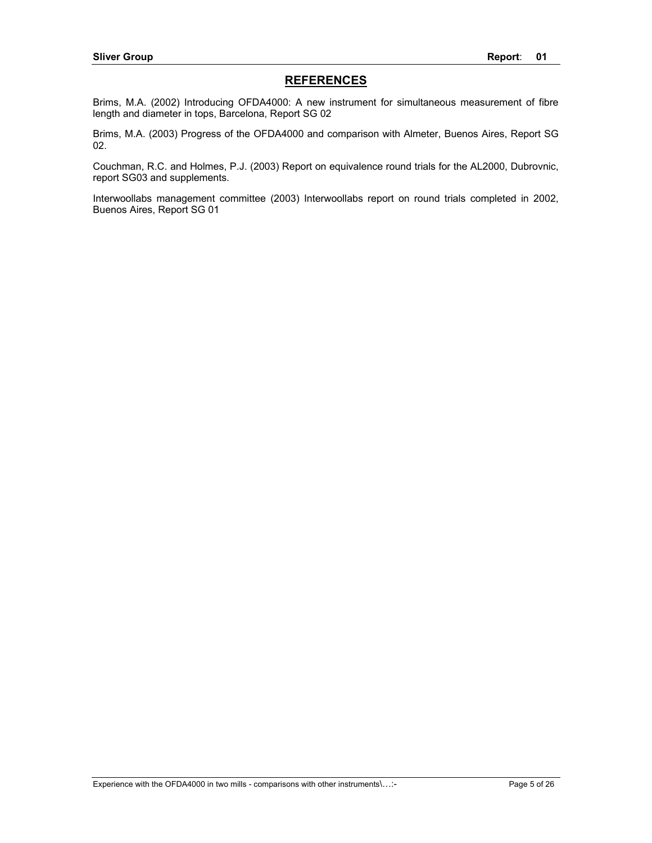## **REFERENCES**

Brims, M.A. (2002) Introducing OFDA4000: A new instrument for simultaneous measurement of fibre length and diameter in tops, Barcelona, Report SG 02

Brims, M.A. (2003) Progress of the OFDA4000 and comparison with Almeter, Buenos Aires, Report SG 02.

Couchman, R.C. and Holmes, P.J. (2003) Report on equivalence round trials for the AL2000, Dubrovnic, report SG03 and supplements.

Interwoollabs management committee (2003) Interwoollabs report on round trials completed in 2002, Buenos Aires, Report SG 01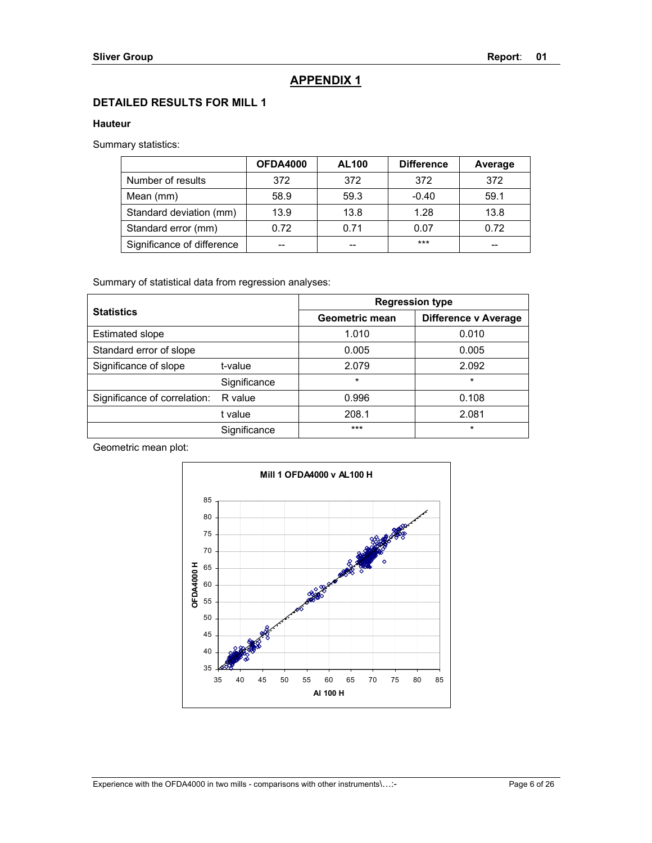## **APPENDIX 1**

## **DETAILED RESULTS FOR MILL 1**

### **Hauteur**

Summary statistics:

|                            | <b>OFDA4000</b> | <b>AL100</b> | <b>Difference</b> | Average |
|----------------------------|-----------------|--------------|-------------------|---------|
| Number of results          | 372             | 372          | 372               | 372     |
| Mean (mm)                  | 58.9            | 59.3         | $-0.40$           | 59.1    |
| Standard deviation (mm)    | 13.9            | 13.8         | 1.28              | 13.8    |
| Standard error (mm)        | 0.72            | 0.71         | 0.07              | 0.72    |
| Significance of difference | --              | --           | $***$             | --      |

Summary of statistical data from regression analyses:

|                              |                   | <b>Regression type</b> |                      |  |
|------------------------------|-------------------|------------------------|----------------------|--|
|                              | <b>Statistics</b> |                        | Difference v Average |  |
| <b>Estimated slope</b>       |                   | 1.010                  | 0.010                |  |
| Standard error of slope      |                   | 0.005                  | 0.005                |  |
| Significance of slope        | t-value           | 2.079                  | 2.092                |  |
|                              | Significance      | $\star$                | $\star$              |  |
| Significance of correlation: | R value           | 0.996                  | 0.108                |  |
|                              | t value           | 208.1                  | 2.081                |  |
|                              | Significance      | $***$                  | $\star$              |  |

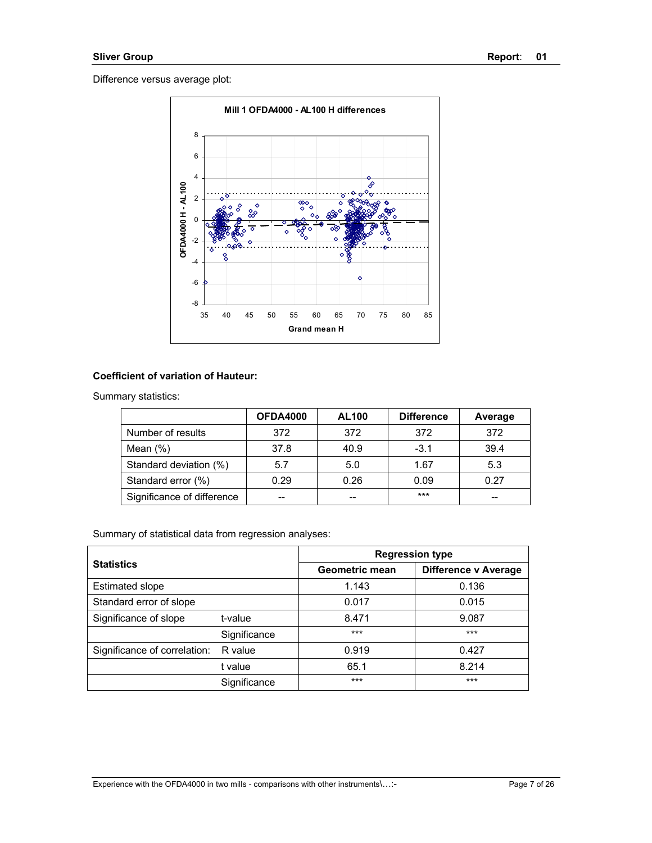

## **Coefficient of variation of Hauteur:**

Summary statistics:

|                            | <b>OFDA4000</b> | <b>AL100</b> | <b>Difference</b> | Average |
|----------------------------|-----------------|--------------|-------------------|---------|
| Number of results          | 372             | 372          | 372               | 372     |
| Mean $(\%)$                | 37.8            | 40.9         | $-3.1$            | 39.4    |
| Standard deviation (%)     | 5.7             | 5.0          | 1.67              | 5.3     |
| Standard error (%)         | 0.29            | 0.26         | 0.09              | 0.27    |
| Significance of difference | --              | --           | ***               | $-$     |

|                              |              | <b>Regression type</b> |                      |  |
|------------------------------|--------------|------------------------|----------------------|--|
| <b>Statistics</b>            |              | Geometric mean         | Difference v Average |  |
| <b>Estimated slope</b>       |              | 1.143                  | 0.136                |  |
| Standard error of slope      |              | 0.017                  | 0.015                |  |
| Significance of slope        | t-value      | 8.471                  | 9.087                |  |
|                              | Significance | $***$                  | $***$                |  |
| Significance of correlation: | R value      | 0.919                  | 0.427                |  |
|                              | t value      | 65.1                   | 8.214                |  |
|                              | Significance | $***$                  | $***$                |  |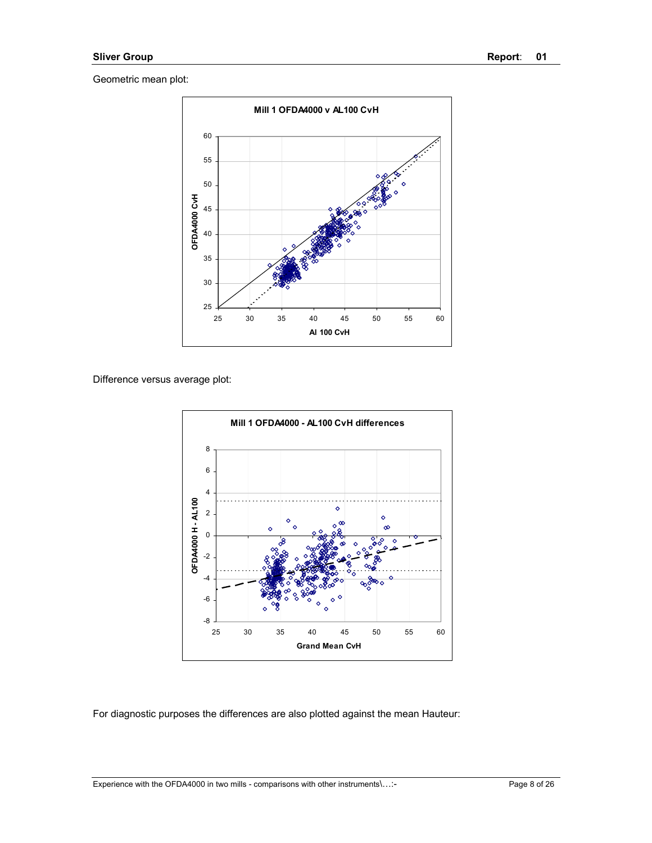

Difference versus average plot:



For diagnostic purposes the differences are also plotted against the mean Hauteur:

Experience with the OFDA4000 in two mills - comparisons with other instruments\...:-<br>Page 8 of 26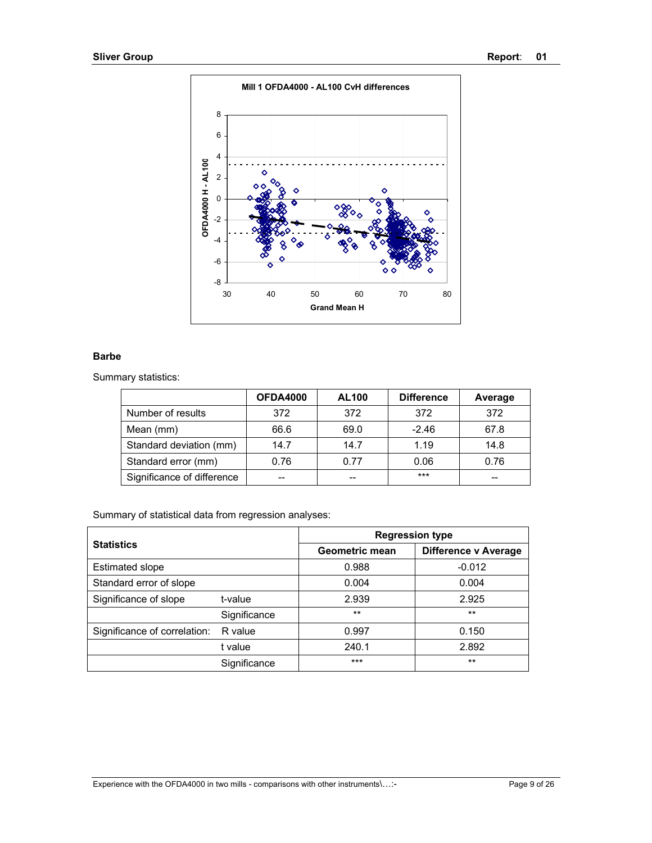

### **Barbe**

Summary statistics:

|                            | <b>OFDA4000</b> | <b>AL100</b> | <b>Difference</b> | Average |
|----------------------------|-----------------|--------------|-------------------|---------|
| Number of results          | 372             | 372          | 372               | 372     |
| Mean (mm)                  | 66.6            | 69.0         | $-2.46$           | 67.8    |
| Standard deviation (mm)    | 14.7            | 14.7         | 1.19              | 14.8    |
| Standard error (mm)        | 0.76            | 0.77         | 0.06              | 0.76    |
| Significance of difference |                 | --           | $***$             | --      |

| <b>Statistics</b>            |              | <b>Regression type</b> |                             |  |
|------------------------------|--------------|------------------------|-----------------------------|--|
|                              |              | Geometric mean         | <b>Difference v Average</b> |  |
| <b>Estimated slope</b>       |              | 0.988                  | $-0.012$                    |  |
| Standard error of slope      |              | 0.004                  | 0.004                       |  |
| Significance of slope        | t-value      | 2.939                  | 2.925                       |  |
|                              | Significance | $***$                  | $***$                       |  |
| Significance of correlation: | R value      | 0.997                  | 0.150                       |  |
|                              | t value      | 240.1                  | 2.892                       |  |
|                              | Significance | ***                    | $**$                        |  |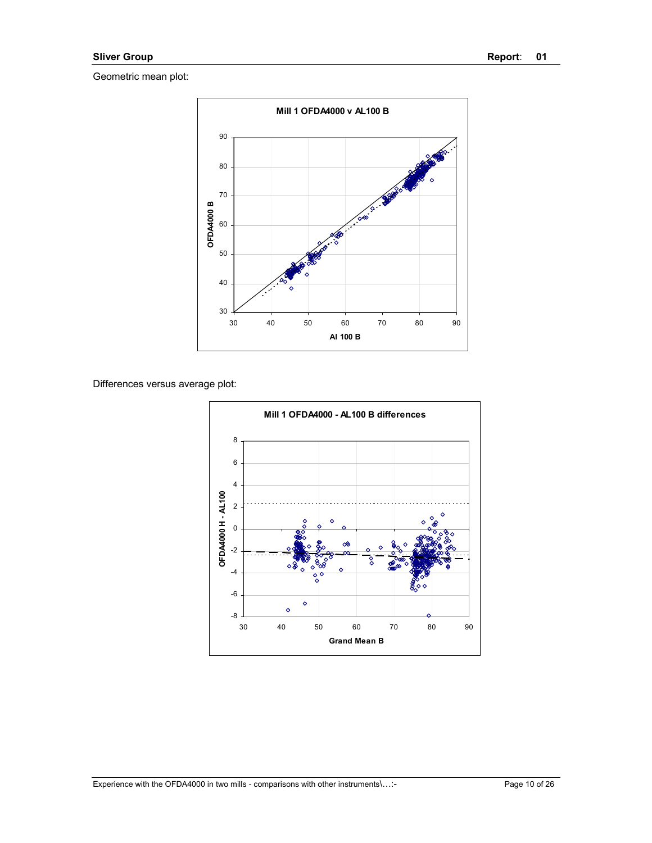

Differences versus average plot:

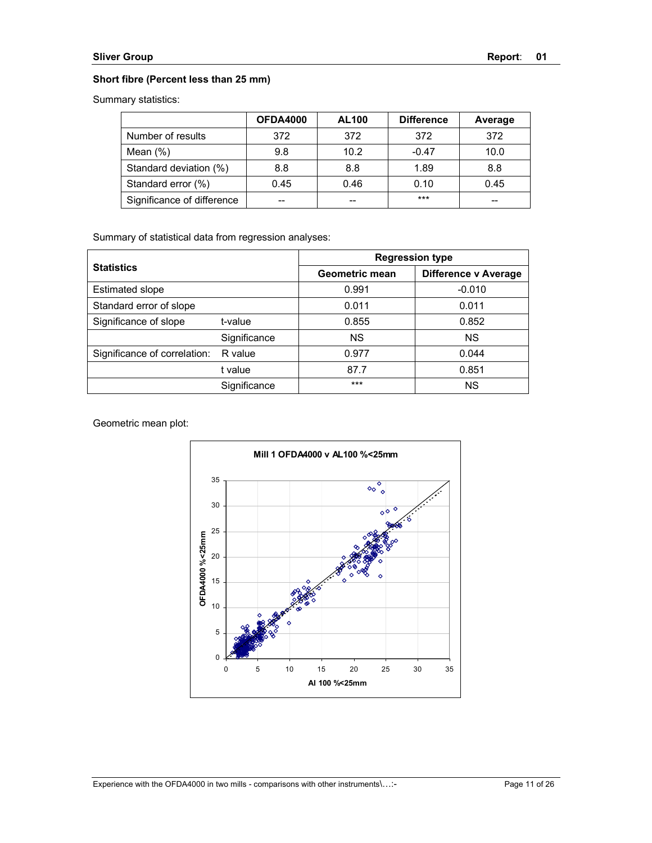### **Short fibre (Percent less than 25 mm)**

Summary statistics:

|                            | OFDA4000 | <b>AL100</b> | <b>Difference</b> | Average |
|----------------------------|----------|--------------|-------------------|---------|
| Number of results          | 372      | 372          | 372               | 372     |
| Mean $(\%)$                | 9.8      | 10.2         | $-0.47$           | 10.0    |
| Standard deviation (%)     | 8.8      | 8.8          | 1.89              | 8.8     |
| Standard error (%)         | 0.45     | 0.46         | 0.10              | 0.45    |
| Significance of difference |          | --           | ***               | --      |

Summary of statistical data from regression analyses:

|                              |                   | <b>Regression type</b> |                      |  |
|------------------------------|-------------------|------------------------|----------------------|--|
|                              | <b>Statistics</b> |                        | Difference v Average |  |
| <b>Estimated slope</b>       |                   | 0.991                  | $-0.010$             |  |
| Standard error of slope      |                   | 0.011                  | 0.011                |  |
| Significance of slope        | t-value           | 0.855                  | 0.852                |  |
|                              | Significance      | <b>NS</b>              | <b>NS</b>            |  |
| Significance of correlation: | R value           | 0.977                  | 0.044                |  |
|                              | t value           | 87.7                   | 0.851                |  |
|                              | Significance      | $***$                  | <b>NS</b>            |  |

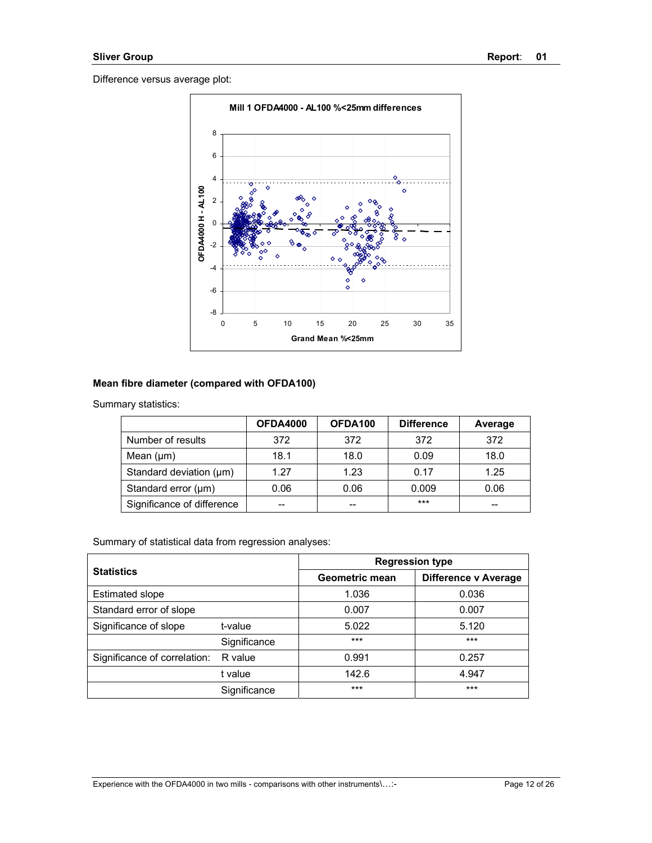

### **Mean fibre diameter (compared with OFDA100)**

Summary statistics:

|                            | <b>OFDA4000</b> | OFDA100 | <b>Difference</b> | Average |
|----------------------------|-----------------|---------|-------------------|---------|
| Number of results          | 372             | 372     | 372               | 372     |
| Mean $(\mu m)$             | 18.1            | 18.0    | 0.09              | 18.0    |
| Standard deviation (µm)    | 1.27            | 1.23    | 0.17              | 1.25    |
| Standard error (µm)        | 0.06            | 0.06    | 0.009             | 0.06    |
| Significance of difference |                 | --      | $***$             | --      |

| <b>Statistics</b>            |              | <b>Regression type</b> |                             |  |
|------------------------------|--------------|------------------------|-----------------------------|--|
|                              |              | <b>Geometric mean</b>  | <b>Difference v Average</b> |  |
| <b>Estimated slope</b>       |              | 1.036                  | 0.036                       |  |
| Standard error of slope      |              | 0.007                  | 0.007                       |  |
| Significance of slope        | t-value      | 5.022                  | 5.120                       |  |
|                              | Significance | $***$                  | $***$                       |  |
| Significance of correlation: | R value      | 0.991                  | 0.257                       |  |
|                              | t value      | 142.6                  | 4.947                       |  |
|                              | Significance | $***$                  | $***$                       |  |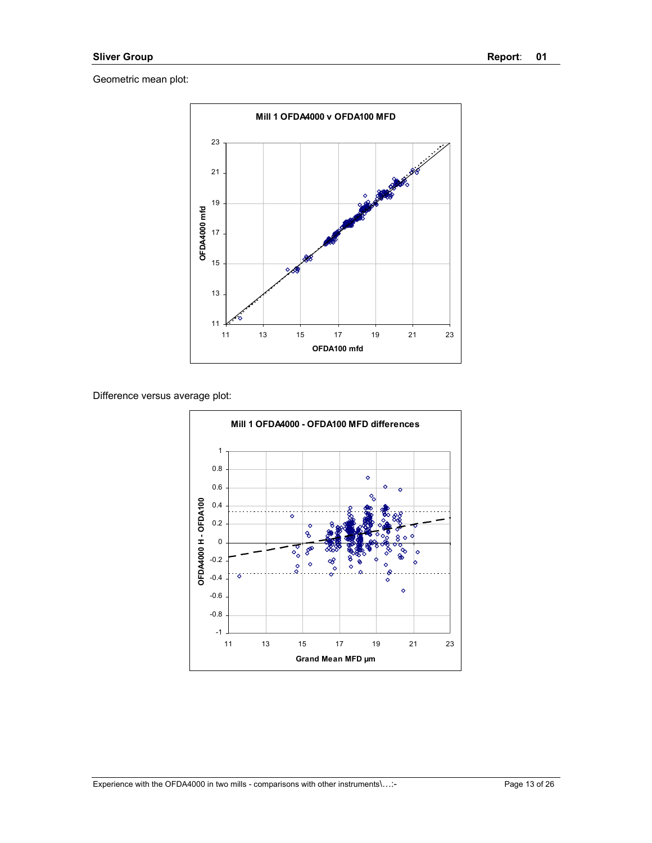

Difference versus average plot:

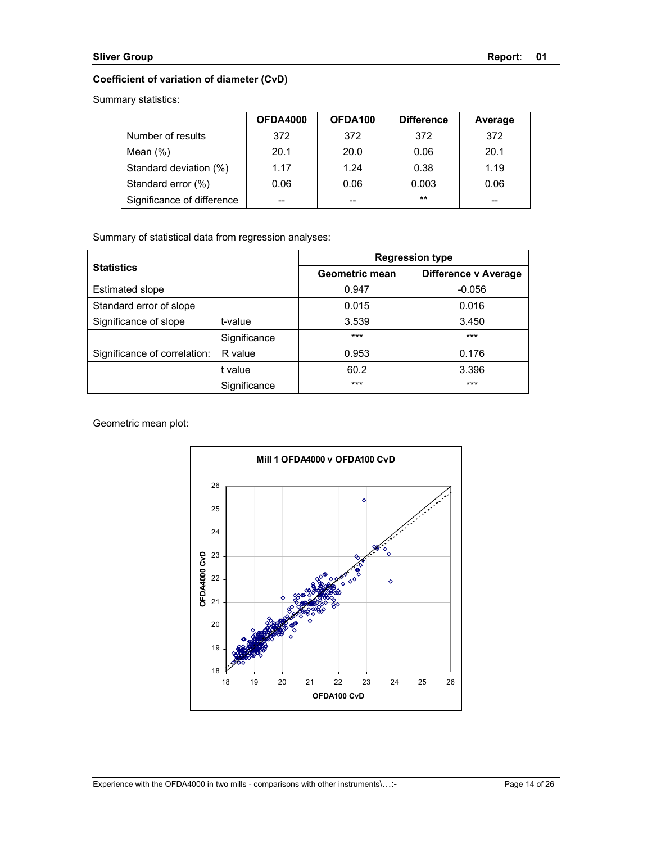## **Coefficient of variation of diameter (CvD)**

Summary statistics:

|                            | OFDA4000 | OFDA100 | <b>Difference</b> | Average |
|----------------------------|----------|---------|-------------------|---------|
| Number of results          | 372      | 372     | 372               | 372     |
| Mean $(\%)$                | 20.1     | 20.0    | 0.06              | 20.1    |
| Standard deviation (%)     | 1.17     | 1.24    | 0.38              | 1.19    |
| Standard error (%)         | 0.06     | 0.06    | 0.003             | 0.06    |
| Significance of difference | --       | --      | $***$             | --      |

Summary of statistical data from regression analyses:

| <b>Statistics</b>            |              | <b>Regression type</b> |                      |  |
|------------------------------|--------------|------------------------|----------------------|--|
|                              |              | Geometric mean         | Difference y Average |  |
| <b>Estimated slope</b>       |              | 0.947                  | $-0.056$             |  |
| Standard error of slope      |              | 0.015                  | 0.016                |  |
| Significance of slope        | t-value      | 3.539                  | 3.450                |  |
|                              | Significance | $***$                  | ***                  |  |
| Significance of correlation: | R value      | 0.953                  | 0.176                |  |
|                              | t value      | 60.2                   | 3.396                |  |
|                              | Significance | $***$                  | $***$                |  |

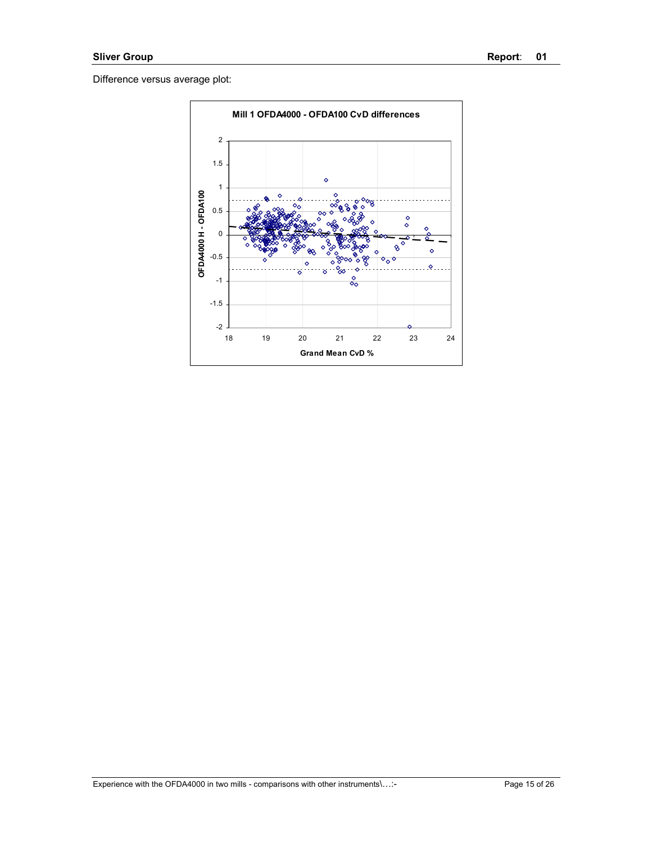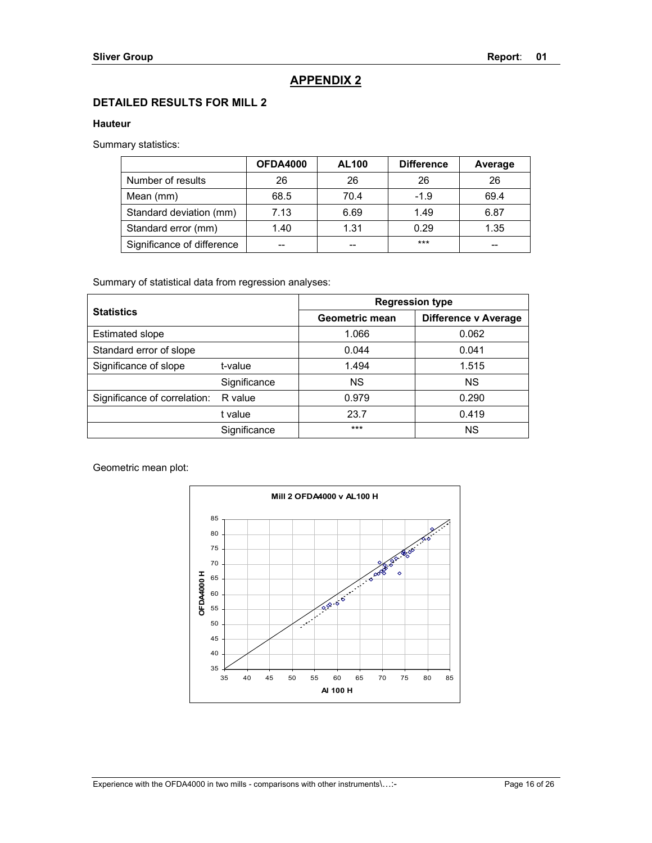## **APPENDIX 2**

## **DETAILED RESULTS FOR MILL 2**

#### **Hauteur**

Summary statistics:

|                            | <b>OFDA4000</b> | <b>AL100</b> | <b>Difference</b> | Average |
|----------------------------|-----------------|--------------|-------------------|---------|
| Number of results          | 26              | 26           | 26                | 26      |
| Mean (mm)                  | 68.5            | 70.4         | $-1.9$            | 69.4    |
| Standard deviation (mm)    | 7.13            | 6.69         | 1.49              | 6.87    |
| Standard error (mm)        | 1.40            | 1.31         | 0.29              | 1.35    |
| Significance of difference |                 | --           | $***$             |         |

Summary of statistical data from regression analyses:

| <b>Statistics</b>            |              | <b>Regression type</b> |                             |  |
|------------------------------|--------------|------------------------|-----------------------------|--|
|                              |              | Geometric mean         | <b>Difference v Average</b> |  |
| <b>Estimated slope</b>       |              | 1.066                  | 0.062                       |  |
| Standard error of slope      |              | 0.044                  | 0.041                       |  |
| Significance of slope        | t-value      | 1.494                  | 1.515                       |  |
|                              | Significance | <b>NS</b>              | <b>NS</b>                   |  |
| Significance of correlation: | R value      | 0.979                  | 0.290                       |  |
|                              | t value      | 23.7                   | 0.419                       |  |
|                              | Significance | ***                    | <b>NS</b>                   |  |

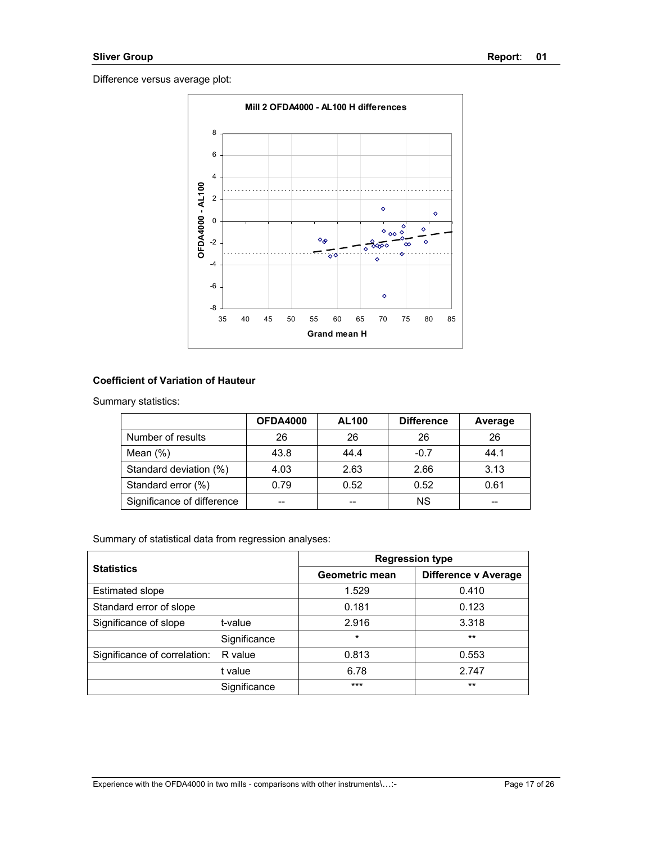

## **Coefficient of Variation of Hauteur**

Summary statistics:

|                            | <b>OFDA4000</b> | <b>AL100</b> | <b>Difference</b> | Average |
|----------------------------|-----------------|--------------|-------------------|---------|
| Number of results          | 26              | 26           | 26                | 26      |
| Mean $(\%)$                | 43.8            | 44.4         | $-0.7$            | 44.1    |
| Standard deviation (%)     | 4.03            | 2.63         | 2.66              | 3.13    |
| Standard error (%)         | 0.79            | 0.52         | 0.52              | 0.61    |
| Significance of difference | --              | --           | <b>NS</b>         | --      |

| <b>Statistics</b>            |              | <b>Regression type</b> |                             |  |
|------------------------------|--------------|------------------------|-----------------------------|--|
|                              |              | Geometric mean         | <b>Difference v Average</b> |  |
| <b>Estimated slope</b>       |              | 1.529                  | 0.410                       |  |
| Standard error of slope      |              | 0.181                  | 0.123                       |  |
| Significance of slope        | t-value      | 2.916                  | 3.318                       |  |
|                              | Significance | $\star$                | $***$                       |  |
| Significance of correlation: | R value      | 0.813                  | 0.553                       |  |
|                              | t value      | 6.78                   | 2.747                       |  |
|                              | Significance | $***$                  | $***$                       |  |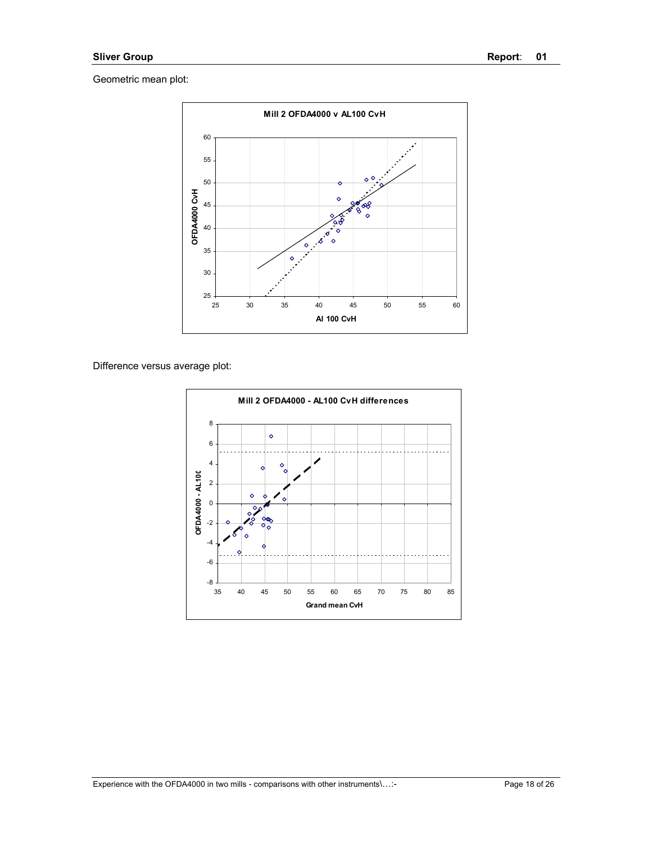

Difference versus average plot:

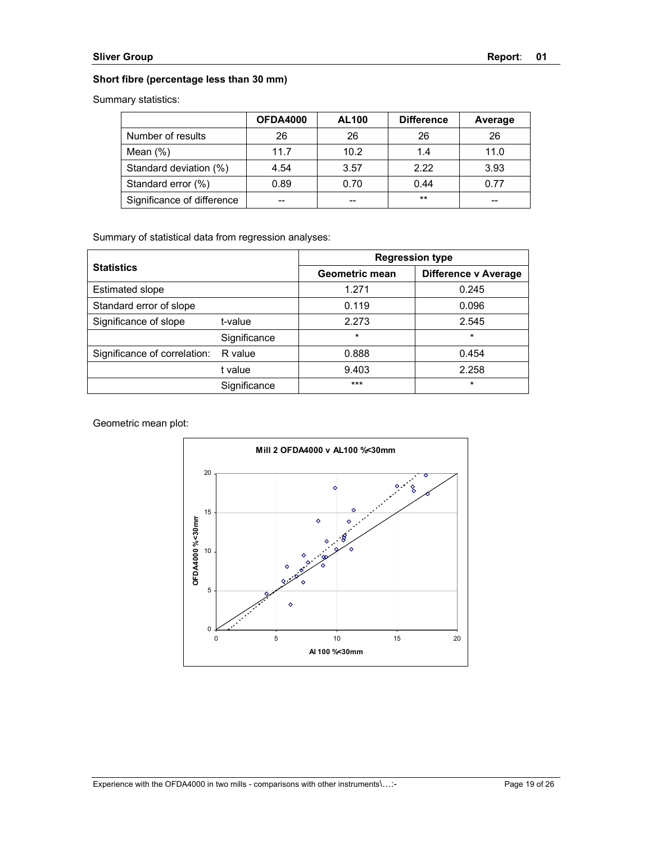### **Short fibre (percentage less than 30 mm)**

Summary statistics:

|                            | <b>OFDA4000</b> | <b>AL100</b> | <b>Difference</b> | Average |
|----------------------------|-----------------|--------------|-------------------|---------|
| Number of results          | 26              | 26           | 26                | 26      |
| Mean $(\%)$                | 11.7            | 10.2         | 14                | 11.0    |
| Standard deviation (%)     | 4.54            | 3.57         | 2.22              | 3.93    |
| Standard error (%)         | 0.89            | 0.70         | 0.44              | 0.77    |
| Significance of difference |                 | --           | $***$             | --      |

Summary of statistical data from regression analyses:

| <b>Statistics</b>            |              | <b>Regression type</b> |                      |  |
|------------------------------|--------------|------------------------|----------------------|--|
|                              |              | Geometric mean         | Difference y Average |  |
| <b>Estimated slope</b>       |              | 1.271                  | 0.245                |  |
| Standard error of slope      |              | 0.119                  | 0.096                |  |
| Significance of slope        | t-value      | 2.273                  | 2.545                |  |
|                              | Significance | $\star$                | $\star$              |  |
| Significance of correlation: | R value      | 0.888                  | 0.454                |  |
|                              | t value      | 9.403                  | 2.258                |  |
|                              | Significance | $***$                  | $\star$              |  |

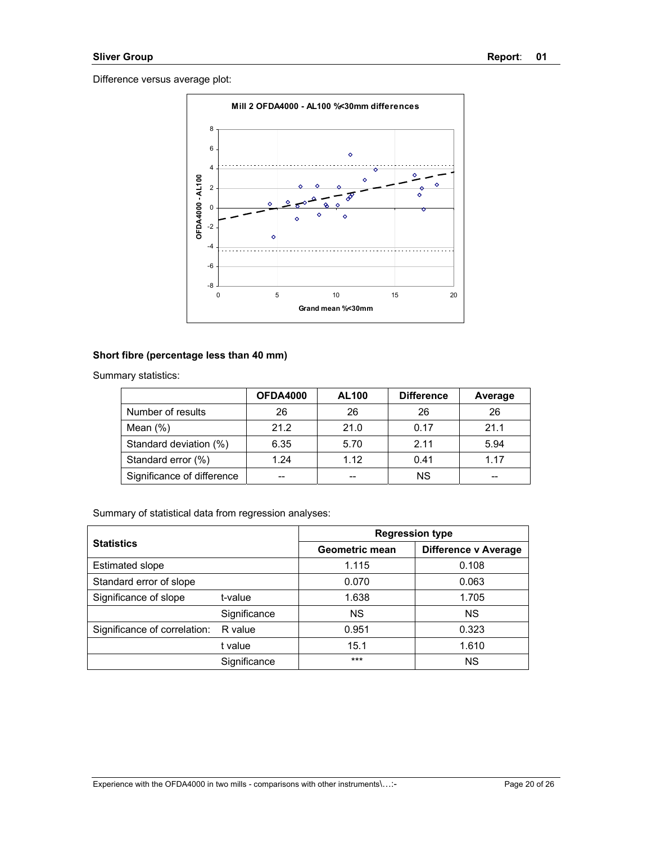

### **Short fibre (percentage less than 40 mm)**

Summary statistics:

|                            | <b>OFDA4000</b> | <b>AL100</b> | <b>Difference</b> | Average |
|----------------------------|-----------------|--------------|-------------------|---------|
| Number of results          | 26              | 26           | 26                | 26      |
| Mean $(\%)$                | 21.2            | 21.0         | 0.17              | 21.1    |
| Standard deviation (%)     | 6.35            | 5.70         | 211               | 5.94    |
| Standard error (%)         | 1.24            | 1.12         | 0.41              | 1.17    |
| Significance of difference | --              | --           | <b>NS</b>         |         |

| <b>Statistics</b>            |              | <b>Regression type</b> |                             |  |
|------------------------------|--------------|------------------------|-----------------------------|--|
|                              |              | Geometric mean         | <b>Difference v Average</b> |  |
| <b>Estimated slope</b>       |              | 1.115                  | 0.108                       |  |
| Standard error of slope      |              | 0.070                  | 0.063                       |  |
| Significance of slope        | t-value      | 1.638                  | 1.705                       |  |
|                              | Significance | <b>NS</b>              | <b>NS</b>                   |  |
| Significance of correlation: | R value      | 0.951                  | 0.323                       |  |
|                              | t value      | 15.1                   | 1.610                       |  |
|                              | Significance | ***                    | <b>NS</b>                   |  |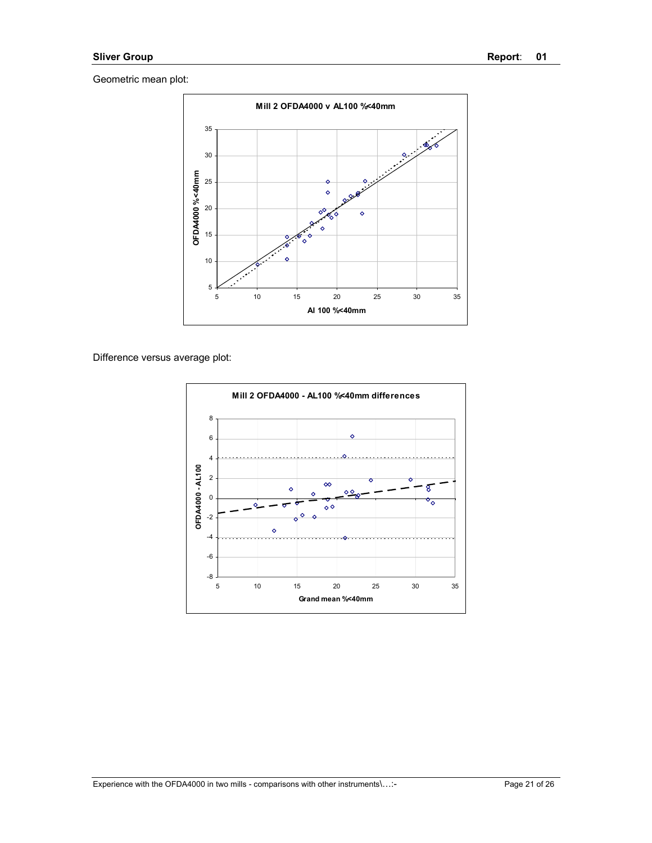

### Difference versus average plot:

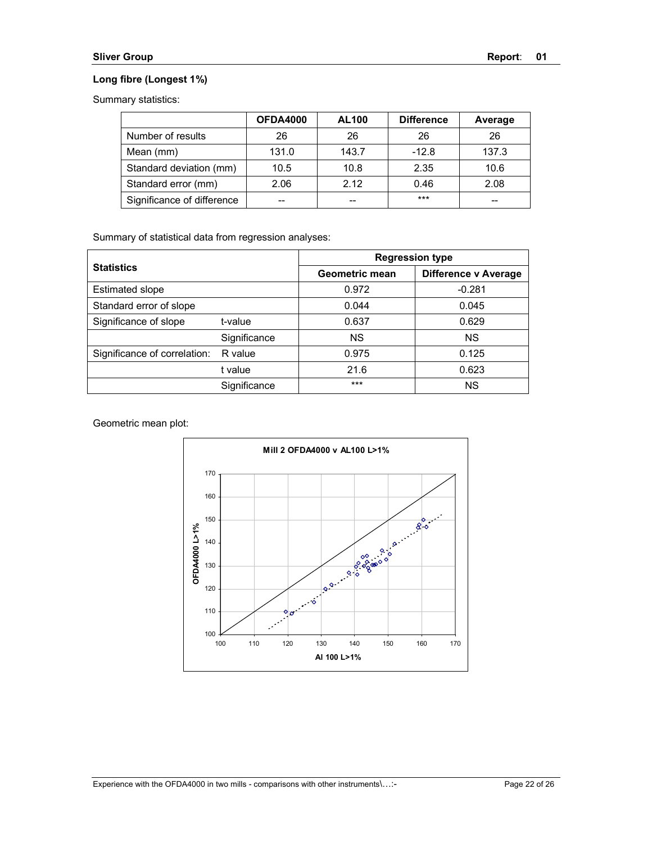### **Long fibre (Longest 1%)**

Summary statistics:

|                            | <b>OFDA4000</b> | <b>AL100</b> | <b>Difference</b> | Average |
|----------------------------|-----------------|--------------|-------------------|---------|
| Number of results          | 26              | 26           | 26                | 26      |
| Mean (mm)                  | 131.0           | 143.7        | $-12.8$           | 137.3   |
| Standard deviation (mm)    | 10.5            | 10.8         | 2.35              | 10.6    |
| Standard error (mm)        | 2.06            | 2.12         | 0.46              | 2.08    |
| Significance of difference |                 | --           | $***$             | --      |

Summary of statistical data from regression analyses:

| <b>Statistics</b>            |              | <b>Regression type</b> |                      |  |
|------------------------------|--------------|------------------------|----------------------|--|
|                              |              | Geometric mean         | Difference v Average |  |
| <b>Estimated slope</b>       |              | 0.972                  | $-0.281$             |  |
| Standard error of slope      |              | 0.044                  | 0.045                |  |
| Significance of slope        | t-value      | 0.637                  | 0.629                |  |
|                              | Significance | <b>NS</b>              | <b>NS</b>            |  |
| Significance of correlation: | R value      | 0.975                  | 0.125                |  |
|                              | t value      | 21.6                   | 0.623                |  |
|                              | Significance | ***                    | <b>NS</b>            |  |

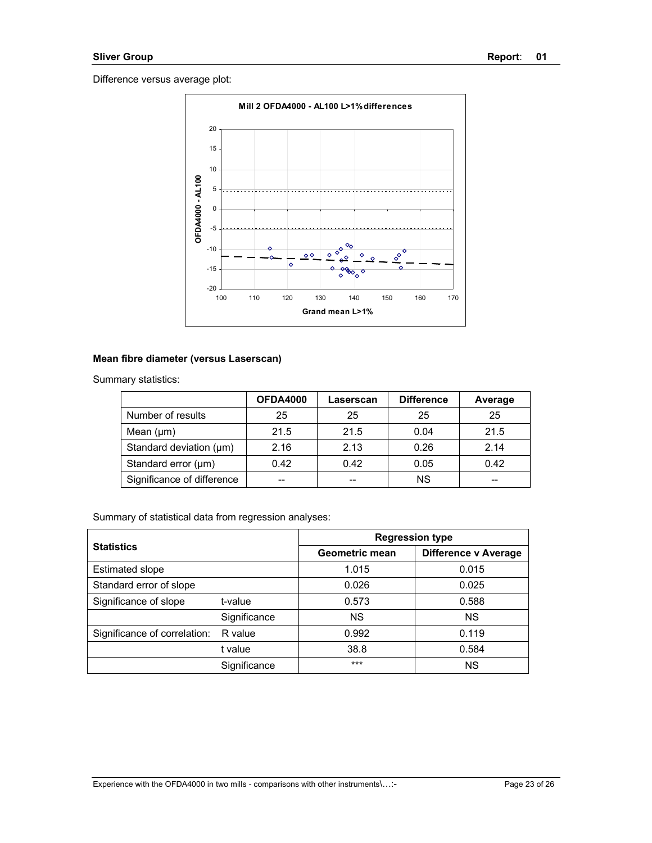

#### **Mean fibre diameter (versus Laserscan)**

| Summary statistics: |  |
|---------------------|--|
|---------------------|--|

|                            | <b>OFDA4000</b> | Laserscan | <b>Difference</b> | Average |
|----------------------------|-----------------|-----------|-------------------|---------|
| Number of results          | 25              | 25        | 25                | 25      |
| Mean $(\mu m)$             | 21.5            | 21.5      | 0.04              | 21.5    |
| Standard deviation (µm)    | 2.16            | 2.13      | 0.26              | 2.14    |
| Standard error (µm)        | 0.42            | 0.42      | 0.05              | 0.42    |
| Significance of difference | --              | --        | ΝS                | --      |

| <b>Statistics</b>            |              | <b>Regression type</b> |                      |  |
|------------------------------|--------------|------------------------|----------------------|--|
|                              |              | Geometric mean         | Difference v Average |  |
| <b>Estimated slope</b>       |              | 1.015                  | 0.015                |  |
| Standard error of slope      |              | 0.026                  | 0.025                |  |
| Significance of slope        | t-value      | 0.573                  | 0.588                |  |
|                              | Significance | <b>NS</b>              | <b>NS</b>            |  |
| Significance of correlation: | R value      | 0.992                  | 0.119                |  |
|                              | t value      | 38.8                   | 0.584                |  |
|                              | Significance | ***                    | <b>NS</b>            |  |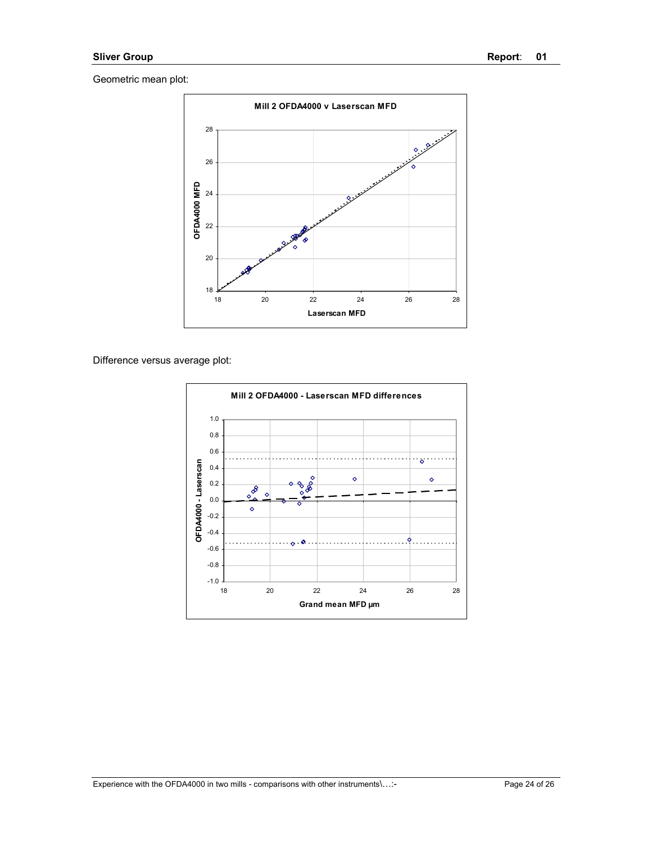

Difference versus average plot:

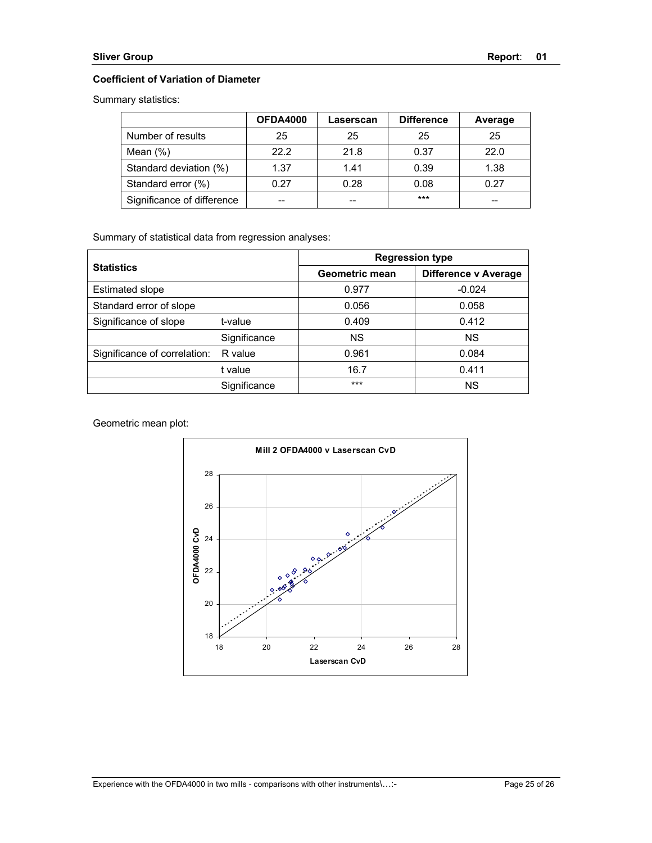### **Coefficient of Variation of Diameter**

Summary statistics:

|                            | OFDA4000 | Laserscan | <b>Difference</b> | Average |
|----------------------------|----------|-----------|-------------------|---------|
| Number of results          | 25       | 25        | 25                | 25      |
| Mean $(\%)$                | 22.2     | 21.8      | 0.37              | 22.0    |
| Standard deviation (%)     | 1.37     | 1.41      | 0.39              | 1.38    |
| Standard error (%)         | 0.27     | 0.28      | 0.08              | 0.27    |
| Significance of difference |          | --        | ***               | --      |

Summary of statistical data from regression analyses:

| <b>Statistics</b>            |              | <b>Regression type</b> |                      |  |
|------------------------------|--------------|------------------------|----------------------|--|
|                              |              | Geometric mean         | Difference v Average |  |
| <b>Estimated slope</b>       |              | 0.977                  | $-0.024$             |  |
| Standard error of slope      |              | 0.056                  | 0.058                |  |
| Significance of slope        | t-value      | 0.409                  | 0.412                |  |
|                              | Significance | <b>NS</b>              | <b>NS</b>            |  |
| Significance of correlation: | R value      | 0.961                  | 0.084                |  |
|                              | t value      | 16.7                   | 0.411                |  |
|                              | Significance | $***$                  | <b>NS</b>            |  |